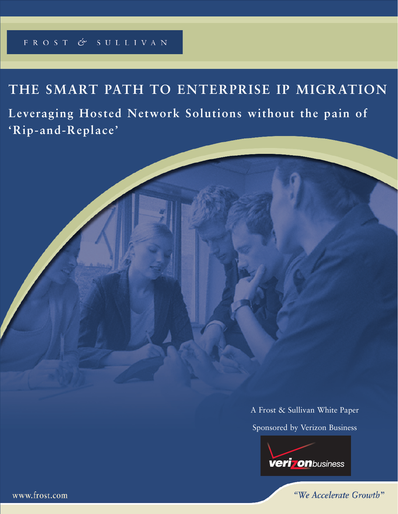# FROST & SULLIVAN

# **THE SMART PATH TO ENTERPRISE IP MIGRATION**

**Leveraging Hosted Network Solutions without the pain of 'Rip-and-Replace'**

> A Frost & Sullivan White Paper Sponsored by Verizon Business



"We Accelerate Growth"

www.frost.com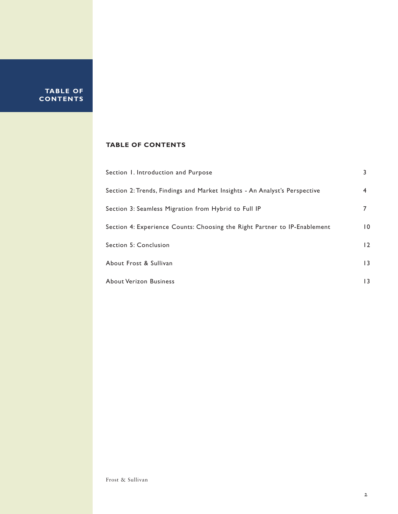**TABLE OF CONTENTS**

### **TABLE OF CONTENTS**

| Section 1. Introduction and Purpose                                        |                 |
|----------------------------------------------------------------------------|-----------------|
| Section 2: Trends, Findings and Market Insights - An Analyst's Perspective | 4               |
| Section 3: Seamless Migration from Hybrid to Full IP                       |                 |
| Section 4: Experience Counts: Choosing the Right Partner to IP-Enablement  | $\overline{10}$ |
| <b>Section 5: Conclusion</b>                                               | $\overline{2}$  |
| About Frost & Sullivan                                                     | $\overline{1}$  |
| About Verizon Business                                                     | 13              |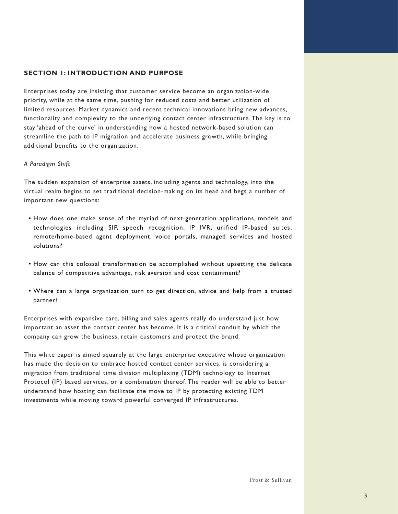### **SECTION 1: INTRODUCTION AND PURPOSE**

Enterprises today are insisting that customer service become an organization-wide priority, while at the same time, pushing for reduced costs and better utilization of limited resources. Market dynamics and recent technical innovations bring new advances, functionality and complexity to the underlying contact center infrastructure. The key is to stay 'ahead of the curve' in understanding how a hosted network-based solution can streamline the path to IP migration and accelerate business growth, while bringing additional benefits to the organization.

### *A Paradigm Shift*

The sudden expansion of enterprise assets, including agents and technology, into the virtual realm begins to set traditional decision-making on its head and begs a number of important new questions:

- How does one make sense of the myriad of next-generation applications, models and technologies including SIP, speech recognition, IP IVR, unified IP-based suites, remote/home-based agent deployment, voice portals, managed services and hosted solutions?
- How can this colossal transformation be accomplished without upsetting the delicate balance of competitive advantage, risk aversion and cost containment?
- Where can a large organization turn to get direction, advice and help from a trusted partner?

Enterprises with expansive care, billing and sales agents really do understand just how important an asset the contact center has become. It is a critical conduit by which the company can grow the business, retain customers and protect the brand.

This white paper is aimed squarely at the large enterprise executive whose organization has made the decision to embrace hosted contact center services, is considering a migration from traditional time division multiplexing (TDM) technology to Internet Protocol (IP) based services, or a combination thereof. The reader will be able to better understand how hosting can facilitate the move to IP by protecting existing TDM investments while moving toward powerful converged IP infrastructures.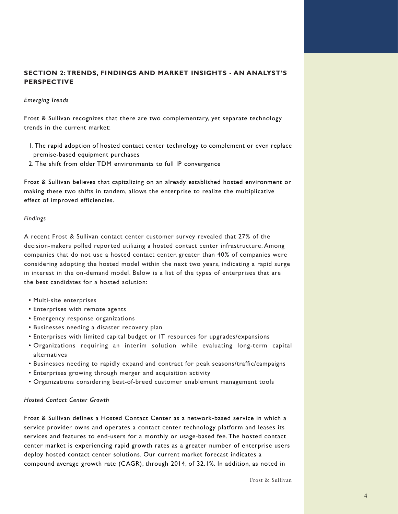### **SECTION 2: TRENDS, FINDINGS AND MARKET INSIGHTS - AN ANALYST'S PERSPECTIVE**

### *Emerging Trends*

Frost & Sullivan recognizes that there are two complementary, yet separate technology trends in the current market:

- 1. The rapid adoption of hosted contact center technology to complement or even replace premise-based equipment purchases
- 2. The shift from older TDM environments to full IP convergence

Frost & Sullivan believes that capitalizing on an already established hosted environment or making these two shifts in tandem, allows the enterprise to realize the multiplicative effect of improved efficiencies.

### *Findings*

A recent Frost & Sullivan contact center customer survey revealed that 27% of the decision-makers polled reported utilizing a hosted contact center infrastructure. Among companies that do not use a hosted contact center, greater than 40% of companies were considering adopting the hosted model within the next two years, indicating a rapid surge in interest in the on-demand model. Below is a list of the types of enterprises that are the best candidates for a hosted solution:

- Multi-site enterprises
- Enterprises with remote agents
- Emergency response organizations
- Businesses needing a disaster recovery plan
- Enterprises with limited capital budget or IT resources for upgrades/expansions
- Organizations requiring an interim solution while evaluating long-term capital alternatives
- Businesses needing to rapidly expand and contract for peak seasons/traffic/campaigns
- Enterprises growing through merger and acquisition activity
- Organizations considering best-of-breed customer enablement management tools

### *Hosted Contact Center Growth*

Frost & Sullivan defines a Hosted Contact Center as a network-based service in which a service provider owns and operates a contact center technology platform and leases its services and features to end-users for a monthly or usage-based fee. The hosted contact center market is experiencing rapid growth rates as a greater number of enterprise users deploy hosted contact center solutions. Our current market forecast indicates a compound average growth rate (CAGR), through 2014, of 32.1%. In addition, as noted in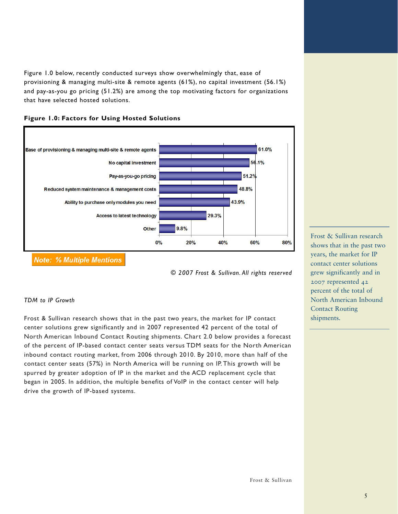Figure 1.0 below, recently conducted surveys show overwhelmingly that, ease of provisioning & managing multi-site & remote agents (61%), no capital investment (56.1%) and pay-as-you go pricing (51.2%) are among the top motivating factors for organizations that have selected hosted solutions.



### **Figure 1.0: Factors for Using Hosted Solutions**

**Note: % Multiple Mentions** 

*© 2007 Frost & Sullivan. All rights reserved*

### *TDM to IP Growth*

Frost & Sullivan research shows that in the past two years, the market for IP contact center solutions grew significantly and in 2007 represented 42 percent of the total of North American Inbound Contact Routing shipments. Chart 2.0 below provides a forecast of the percent of IP-based contact center seats versus TDM seats for the North American inbound contact routing market, from 2006 through 2010. By 2010, more than half of the contact center seats (57%) in North America will be running on IP. This growth will be spurred by greater adoption of IP in the market and the ACD replacement cycle that began in 2005. In addition, the multiple benefits of VoIP in the contact center will help drive the growth of IP-based systems.

Frost & Sullivan research shows that in the past two years, the market for IP contact center solutions grew significantly and in 2007 represented 42 percent of the total of North American Inbound Contact Routing shipments.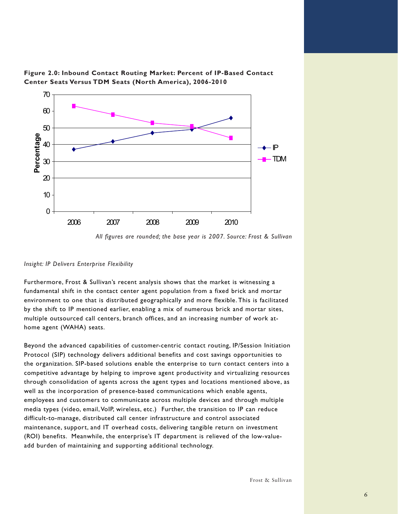



### *Insight: IP Delivers Enterprise Flexibility*

Furthermore, Frost & Sullivan's recent analysis shows that the market is witnessing a fundamental shift in the contact center agent population from a fixed brick and mortar environment to one that is distributed geographically and more flexible. This is facilitated by the shift to IP mentioned earlier, enabling a mix of numerous brick and mortar sites, multiple outsourced call centers, branch offices, and an increasing number of work athome agent (WAHA) seats.

Beyond the advanced capabilities of customer-centric contact routing, IP/Session Initiation Protocol (SIP) technology delivers additional benefits and cost savings opportunities to the organization. SIP-based solutions enable the enterprise to turn contact centers into a competitive advantage by helping to improve agent productivity and virtualizing resources through consolidation of agents across the agent types and locations mentioned above, as well as the incorporation of presence-based communications which enable agents, employees and customers to communicate across multiple devices and through multiple media types (video, email, VoIP, wireless, etc.) Further, the transition to IP can reduce difficult-to-manage, distributed call center infrastructure and control associated maintenance, support, and IT overhead costs, delivering tangible return on investment (ROI) benefits. Meanwhile, the enterprise's IT department is relieved of the low-valueadd burden of maintaining and supporting additional technology.

*All figures are rounded; the base year is 2007. Source: Frost & Sullivan*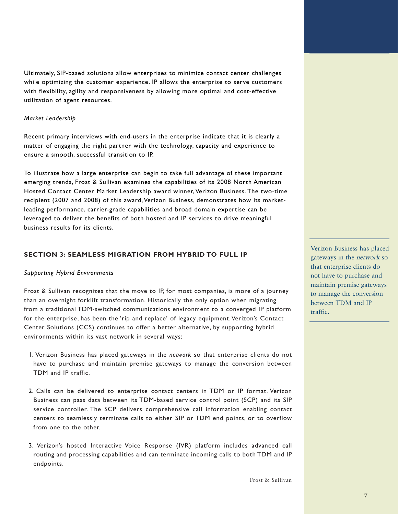Ultimately, SIP-based solutions allow enterprises to minimize contact center challenges while optimizing the customer experience. IP allows the enterprise to serve customers with flexibility, agility and responsiveness by allowing more optimal and cost-effective utilization of agent resources.

#### *Market Leadership*

Recent primary interviews with end-users in the enterprise indicate that it is clearly a matter of engaging the right partner with the technology, capacity and experience to ensure a smooth, successful transition to IP.

To illustrate how a large enterprise can begin to take full advantage of these important emerging trends, Frost & Sullivan examines the capabilities of its 2008 North American Hosted Contact Center Market Leadership award winner, Verizon Business. The two-time recipient (2007 and 2008) of this award, Verizon Business, demonstrates how its marketleading performance, carrier-grade capabilities and broad domain expertise can be leveraged to deliver the benefits of both hosted and IP services to drive meaningful business results for its clients.

### **SECTION 3: SEAMLESS MIGRATION FROM HYBRID TO FULL IP**

### *Supporting Hybrid Environments*

Frost & Sullivan recognizes that the move to IP, for most companies, is more of a journey than an overnight forklift transformation. Historically the only option when migrating from a traditional TDM-switched communications environment to a converged IP platform for the enterprise, has been the 'rip and replace' of legacy equipment. Verizon's Contact Center Solutions (CCS) continues to offer a better alternative, by supporting hybrid environments within its vast network in several ways:

- 1. Verizon Business has placed gateways in the *network* so that enterprise clients do not have to purchase and maintain premise gateways to manage the conversion between TDM and IP traffic.
- 2. Calls can be delivered to enterprise contact centers in TDM or IP format. Verizon Business can pass data between its TDM-based service control point (SCP) and its SIP service controller. The SCP delivers comprehensive call information enabling contact centers to seamlessly terminate calls to either SIP or TDM end points, or to overflow from one to the other.
- 3. Verizon's hosted Interactive Voice Response (IVR) platform includes advanced call routing and processing capabilities and can terminate incoming calls to both TDM and IP endpoints.

Verizon Business has placed gateways in the network so that enterprise clients do not have to purchase and maintain premise gateways to manage the conversion between TDM and IP traffic.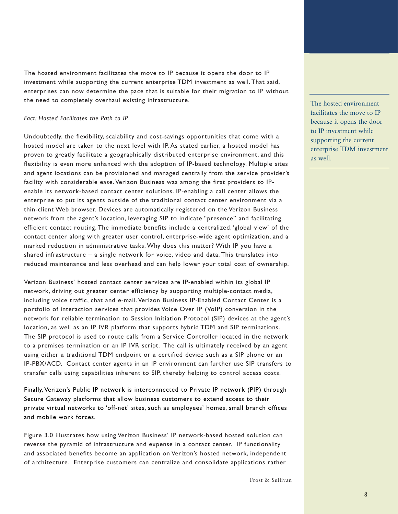The hosted environment facilitates the move to IP because it opens the door to IP investment while supporting the current enterprise TDM investment as well. That said, enterprises can now determine the pace that is suitable for their migration to IP without the need to completely overhaul existing infrastructure.

### *Fact: Hosted Facilitates the Path to IP*

Undoubtedly, the flexibility, scalability and cost-savings opportunities that come with a hosted model are taken to the next level with IP. As stated earlier, a hosted model has proven to greatly facilitate a geographically distributed enterprise environment, and this flexibility is even more enhanced with the adoption of IP-based technology. Multiple sites and agent locations can be provisioned and managed centrally from the service provider's facility with considerable ease. Verizon Business was among the first providers to IPenable its network-based contact center solutions. IP-enabling a call center allows the enterprise to put its agents outside of the traditional contact center environment via a thin-client Web browser. Devices are automatically registered on the Verizon Business network from the agent's location, leveraging SIP to indicate "presence" and facilitating efficient contact routing. The immediate benefits include a centralized, 'global view' of the contact center along with greater user control, enterprise-wide agent optimization, and a marked reduction in administrative tasks. Why does this matter? With IP you have a shared infrastructure – a single network for voice, video and data. This translates into reduced maintenance and less overhead and can help lower your total cost of ownership.

Verizon Business' hosted contact center services are IP-enabled within its global IP network, driving out greater center efficiency by supporting multiple-contact media, including voice traffic, chat and e-mail. Verizon Business IP-Enabled Contact Center is a portfolio of interaction services that provides Voice Over IP (VoIP) conversion in the network for reliable termination to Session Initiation Protocol (SIP) devices at the agent's location, as well as an IP IVR platform that supports hybrid TDM and SIP terminations. The SIP protocol is used to route calls from a Service Controller located in the network to a premises termination or an IP IVR script. The call is ultimately received by an agent using either a traditional TDM endpoint or a certified device such as a SIP phone or an IP-PBX/ACD. Contact center agents in an IP environment can further use SIP transfers to transfer calls using capabilities inherent to SIP, thereby helping to control access costs.

Finally, Verizon's Public IP network is interconnected to Private IP network (PIP) through Secure Gateway platforms that allow business customers to extend access to their private virtual networks to 'off-net' sites, such as employees' homes, small branch offices and mobile work forces.

Figure 3.0 illustrates how using Verizon Business' IP network-based hosted solution can reverse the pyramid of infrastructure and expense in a contact center. IP functionality and associated benefits become an application on Verizon's hosted network, independent of architecture. Enterprise customers can centralize and consolidate applications rather

The hosted environment facilitates the move to IP because it opens the door to IP investment while supporting the current enterprise TDM investment as well.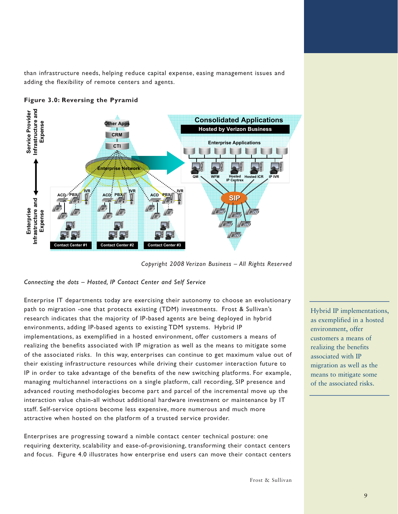than infrastructure needs, helping reduce capital expense, easing management issues and adding the flexibility of remote centers and agents.



### **Figure 3.0: Reversing the Pyramid**

*Copyright 2008 Verizon Business – All Rights Reserved*

### *Connecting the dots – Hosted, IP Contact Center and Self Service*

Enterprise IT departments today are exercising their autonomy to choose an evolutionary path to migration -one that protects existing (TDM) investments. Frost & Sullivan's research indicates that the majority of IP-based agents are being deployed in hybrid environments, adding IP-based agents to existing TDM systems. Hybrid IP implementations, as exemplified in a hosted environment, offer customers a means of realizing the benefits associated with IP migration as well as the means to mitigate some of the associated risks. In this way, enterprises can continue to get maximum value out of their existing infrastructure resources while driving their customer interaction future to IP in order to take advantage of the benefits of the new switching platforms. For example, managing multichannel interactions on a single platform, call recording, SIP presence and advanced routing methodologies become part and parcel of the incremental move up the interaction value chain-all without additional hardware investment or maintenance by IT staff. Self-service options become less expensive, more numerous and much more attractive when hosted on the platform of a trusted service provider.

Enterprises are progressing toward a nimble contact center technical posture: one requiring dexterity, scalability and ease-of-provisioning, transforming their contact centers and focus. Figure 4.0 illustrates how enterprise end users can move their contact centers Hybrid IP implementations, as exemplified in a hosted environment, offer customers a means of realizing the benefits associated with IP migration as well as the means to mitigate some of the associated risks.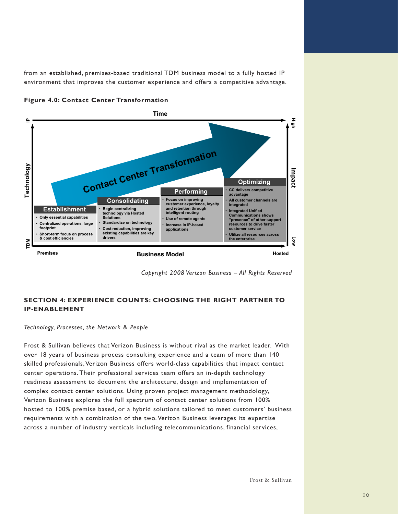from an established, premises-based traditional TDM business model to a fully hosted IP environment that improves the customer experience and offers a competitive advantage.





*Copyright 2008 Verizon Business – All Rights Reserved*

## **SECTION 4: EXPERIENCE COUNTS: CHOOSING THE RIGHT PARTNER TO IP-ENABLEMENT**

### *Technology, Processes, the Network & People*

Frost & Sullivan believes that Verizon Business is without rival as the market leader. With over 18 years of business process consulting experience and a team of more than 140 skilled professionals, Verizon Business offers world-class capabilities that impact contact center operations. Their professional services team offers an in-depth technology readiness assessment to document the architecture, design and implementation of complex contact center solutions. Using proven project management methodology, Verizon Business explores the full spectrum of contact center solutions from 100% hosted to 100% premise based, or a hybrid solutions tailored to meet customers' business requirements with a combination of the two. Verizon Business leverages its expertise across a number of industry verticals including telecommunications, financial services,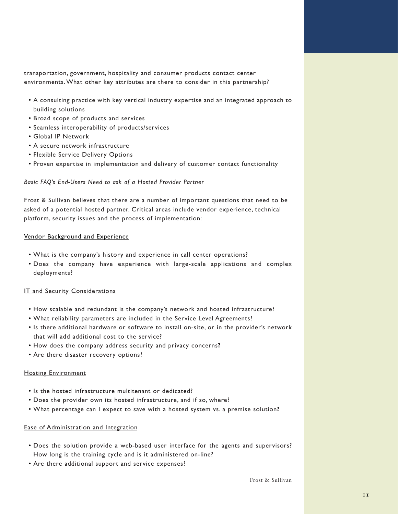transportation, government, hospitality and consumer products contact center environments. What other key attributes are there to consider in this partnership?

- A consulting practice with key vertical industry expertise and an integrated approach to building solutions
- Broad scope of products and services
- Seamless interoperability of products/services
- Global IP Network
- A secure network infrastructure
- Flexible Service Delivery Options
- Proven expertise in implementation and delivery of customer contact functionality

### *Basic FAQ's End-Users Need to ask of a Hosted Provider Partner*

Frost & Sullivan believes that there are a number of important questions that need to be asked of a potential hosted partner. Critical areas include vendor experience, technical platform, security issues and the process of implementation:

### Vendor Background and Experience

- What is the company's history and experience in call center operations?
- Does the company have experience with large-scale applications and complex deployments?

### IT and Security Considerations

- How scalable and redundant is the company's network and hosted infrastructure?
- What reliability parameters are included in the Service Level Agreements?
- Is there additional hardware or software to install on-site, or in the provider's network that will add additional cost to the service?
- How does the company address security and privacy concerns**?**
- Are there disaster recovery options?

### Hosting Environment

- Is the hosted infrastructure multitenant or dedicated?
- Does the provider own its hosted infrastructure, and if so, where?
- What percentage can I expect to save with a hosted system vs. a premise solution**?**

### Ease of Administration and Integration

- Does the solution provide a web-based user interface for the agents and supervisors? How long is the training cycle and is it administered on-line?
- Are there additional support and service expenses?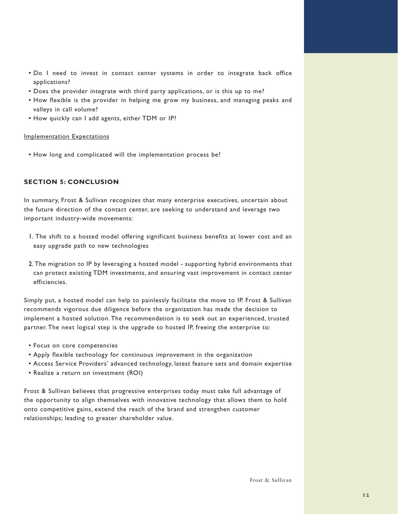- Do I need to invest in contact center systems in order to integrate back office applications?
- Does the provider integrate with third party applications, or is this up to me?
- How flexible is the provider in helping me grow my business, and managing peaks and valleys in call volume?
- How quickly can I add agents, either TDM or IP?

### Implementation Expectations

• How long and complicated will the implementation process be?

### **SECTION 5: CONCLUSION**

In summary, Frost & Sullivan recognizes that many enterprise executives, uncertain about the future direction of the contact center, are seeking to understand and leverage two important industry-wide movements:

- 1. The shift to a hosted model offering significant business benefits at lower cost and an easy upgrade path to new technologies
- 2. The migration to IP by leveraging a hosted model supporting hybrid environments that can protect existing TDM investments, and ensuring vast improvement in contact center efficiencies.

Simply put, a hosted model can help to painlessly facilitate the move to IP. Frost & Sullivan recommends vigorous due diligence before the organization has made the decision to implement a hosted solution. The recommendation is to seek out an experienced, trusted partner. The next logical step is the upgrade to hosted IP, freeing the enterprise to:

- Focus on core competencies
- Apply flexible technology for continuous improvement in the organization
- Access Service Providers' advanced technology, latest feature sets and domain expertise
- Realize a return on investment (ROI)

Frost & Sullivan believes that progressive enterprises today must take full advantage of the opportunity to align themselves with innovative technology that allows them to hold onto competitive gains, extend the reach of the brand and strengthen customer relationships; leading to greater shareholder value.